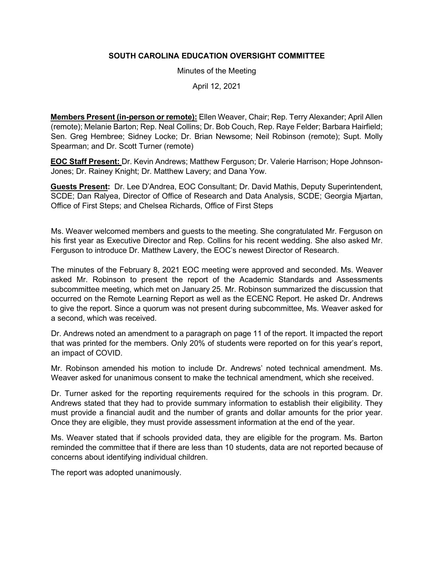## **SOUTH CAROLINA EDUCATION OVERSIGHT COMMITTEE**

Minutes of the Meeting

April 12, 2021

**Members Present (in-person or remote):** Ellen Weaver, Chair; Rep. Terry Alexander; April Allen (remote); Melanie Barton; Rep. Neal Collins; Dr. Bob Couch, Rep. Raye Felder; Barbara Hairfield; Sen. Greg Hembree; Sidney Locke; Dr. Brian Newsome; Neil Robinson (remote); Supt. Molly Spearman; and Dr. Scott Turner (remote)

**EOC Staff Present:** Dr. Kevin Andrews; Matthew Ferguson; Dr. Valerie Harrison; Hope Johnson-Jones; Dr. Rainey Knight; Dr. Matthew Lavery; and Dana Yow.

**Guests Present:** Dr. Lee D'Andrea, EOC Consultant; Dr. David Mathis, Deputy Superintendent, SCDE; Dan Ralyea, Director of Office of Research and Data Analysis, SCDE; Georgia Mjartan, Office of First Steps; and Chelsea Richards, Office of First Steps

Ms. Weaver welcomed members and guests to the meeting. She congratulated Mr. Ferguson on his first year as Executive Director and Rep. Collins for his recent wedding. She also asked Mr. Ferguson to introduce Dr. Matthew Lavery, the EOC's newest Director of Research.

The minutes of the February 8, 2021 EOC meeting were approved and seconded. Ms. Weaver asked Mr. Robinson to present the report of the Academic Standards and Assessments subcommittee meeting, which met on January 25. Mr. Robinson summarized the discussion that occurred on the Remote Learning Report as well as the ECENC Report. He asked Dr. Andrews to give the report. Since a quorum was not present during subcommittee, Ms. Weaver asked for a second, which was received.

Dr. Andrews noted an amendment to a paragraph on page 11 of the report. It impacted the report that was printed for the members. Only 20% of students were reported on for this year's report, an impact of COVID.

Mr. Robinson amended his motion to include Dr. Andrews' noted technical amendment. Ms. Weaver asked for unanimous consent to make the technical amendment, which she received.

Dr. Turner asked for the reporting requirements required for the schools in this program. Dr. Andrews stated that they had to provide summary information to establish their eligibility. They must provide a financial audit and the number of grants and dollar amounts for the prior year. Once they are eligible, they must provide assessment information at the end of the year.

Ms. Weaver stated that if schools provided data, they are eligible for the program. Ms. Barton reminded the committee that if there are less than 10 students, data are not reported because of concerns about identifying individual children.

The report was adopted unanimously.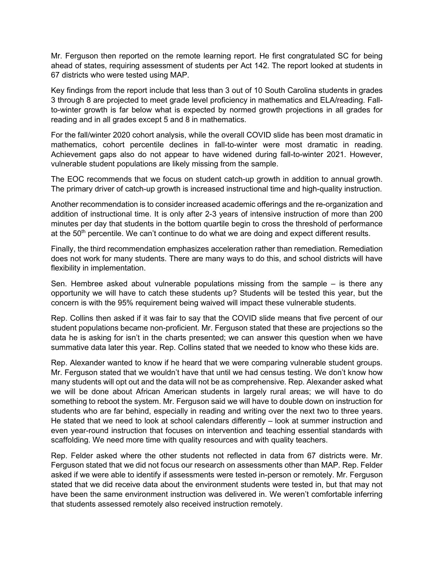Mr. Ferguson then reported on the remote learning report. He first congratulated SC for being ahead of states, requiring assessment of students per Act 142. The report looked at students in 67 districts who were tested using MAP.

Key findings from the report include that less than 3 out of 10 South Carolina students in grades 3 through 8 are projected to meet grade level proficiency in mathematics and ELA/reading. Fallto-winter growth is far below what is expected by normed growth projections in all grades for reading and in all grades except 5 and 8 in mathematics.

For the fall/winter 2020 cohort analysis, while the overall COVID slide has been most dramatic in mathematics, cohort percentile declines in fall-to-winter were most dramatic in reading. Achievement gaps also do not appear to have widened during fall-to-winter 2021. However, vulnerable student populations are likely missing from the sample.

The EOC recommends that we focus on student catch-up growth in addition to annual growth. The primary driver of catch-up growth is increased instructional time and high-quality instruction.

Another recommendation is to consider increased academic offerings and the re-organization and addition of instructional time. It is only after 2-3 years of intensive instruction of more than 200 minutes per day that students in the bottom quartile begin to cross the threshold of performance at the 50<sup>th</sup> percentile. We can't continue to do what we are doing and expect different results.

Finally, the third recommendation emphasizes acceleration rather than remediation. Remediation does not work for many students. There are many ways to do this, and school districts will have flexibility in implementation.

Sen. Hembree asked about vulnerable populations missing from the sample – is there any opportunity we will have to catch these students up? Students will be tested this year, but the concern is with the 95% requirement being waived will impact these vulnerable students.

Rep. Collins then asked if it was fair to say that the COVID slide means that five percent of our student populations became non-proficient. Mr. Ferguson stated that these are projections so the data he is asking for isn't in the charts presented; we can answer this question when we have summative data later this year. Rep. Collins stated that we needed to know who these kids are.

Rep. Alexander wanted to know if he heard that we were comparing vulnerable student groups. Mr. Ferguson stated that we wouldn't have that until we had census testing. We don't know how many students will opt out and the data will not be as comprehensive. Rep. Alexander asked what we will be done about African American students in largely rural areas; we will have to do something to reboot the system. Mr. Ferguson said we will have to double down on instruction for students who are far behind, especially in reading and writing over the next two to three years. He stated that we need to look at school calendars differently – look at summer instruction and even year-round instruction that focuses on intervention and teaching essential standards with scaffolding. We need more time with quality resources and with quality teachers.

Rep. Felder asked where the other students not reflected in data from 67 districts were. Mr. Ferguson stated that we did not focus our research on assessments other than MAP. Rep. Felder asked if we were able to identify if assessments were tested in-person or remotely. Mr. Ferguson stated that we did receive data about the environment students were tested in, but that may not have been the same environment instruction was delivered in. We weren't comfortable inferring that students assessed remotely also received instruction remotely.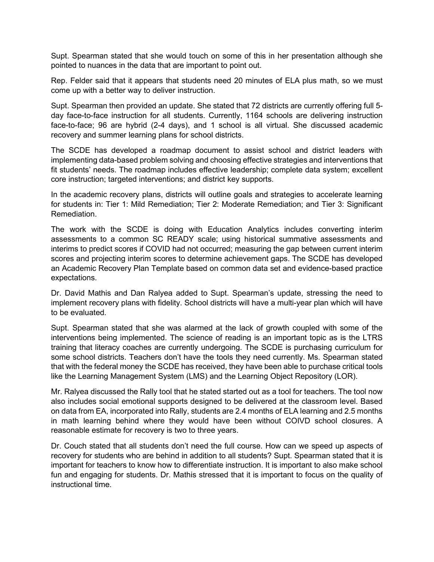Supt. Spearman stated that she would touch on some of this in her presentation although she pointed to nuances in the data that are important to point out.

Rep. Felder said that it appears that students need 20 minutes of ELA plus math, so we must come up with a better way to deliver instruction.

Supt. Spearman then provided an update. She stated that 72 districts are currently offering full 5 day face-to-face instruction for all students. Currently, 1164 schools are delivering instruction face-to-face; 96 are hybrid (2-4 days), and 1 school is all virtual. She discussed academic recovery and summer learning plans for school districts.

The SCDE has developed a roadmap document to assist school and district leaders with implementing data-based problem solving and choosing effective strategies and interventions that fit students' needs. The roadmap includes effective leadership; complete data system; excellent core instruction; targeted interventions; and district key supports.

In the academic recovery plans, districts will outline goals and strategies to accelerate learning for students in: Tier 1: Mild Remediation; Tier 2: Moderate Remediation; and Tier 3: Significant Remediation.

The work with the SCDE is doing with Education Analytics includes converting interim assessments to a common SC READY scale; using historical summative assessments and interims to predict scores if COVID had not occurred; measuring the gap between current interim scores and projecting interim scores to determine achievement gaps. The SCDE has developed an Academic Recovery Plan Template based on common data set and evidence-based practice expectations.

Dr. David Mathis and Dan Ralyea added to Supt. Spearman's update, stressing the need to implement recovery plans with fidelity. School districts will have a multi-year plan which will have to be evaluated.

Supt. Spearman stated that she was alarmed at the lack of growth coupled with some of the interventions being implemented. The science of reading is an important topic as is the LTRS training that literacy coaches are currently undergoing. The SCDE is purchasing curriculum for some school districts. Teachers don't have the tools they need currently. Ms. Spearman stated that with the federal money the SCDE has received, they have been able to purchase critical tools like the Learning Management System (LMS) and the Learning Object Repository (LOR).

Mr. Ralyea discussed the Rally tool that he stated started out as a tool for teachers. The tool now also includes social emotional supports designed to be delivered at the classroom level. Based on data from EA, incorporated into Rally, students are 2.4 months of ELA learning and 2.5 months in math learning behind where they would have been without COIVD school closures. A reasonable estimate for recovery is two to three years.

Dr. Couch stated that all students don't need the full course. How can we speed up aspects of recovery for students who are behind in addition to all students? Supt. Spearman stated that it is important for teachers to know how to differentiate instruction. It is important to also make school fun and engaging for students. Dr. Mathis stressed that it is important to focus on the quality of instructional time.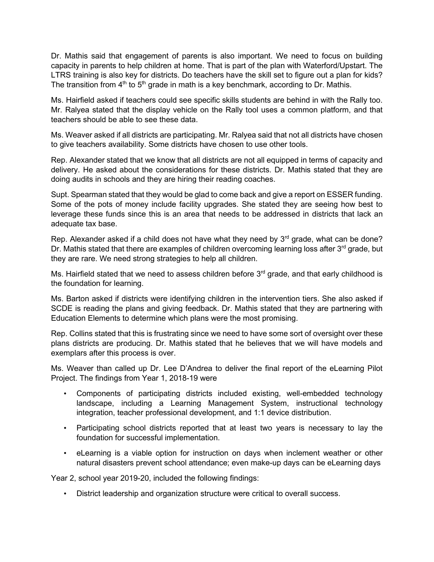Dr. Mathis said that engagement of parents is also important. We need to focus on building capacity in parents to help children at home. That is part of the plan with Waterford/Upstart. The LTRS training is also key for districts. Do teachers have the skill set to figure out a plan for kids? The transition from  $4<sup>th</sup>$  to  $5<sup>th</sup>$  grade in math is a key benchmark, according to Dr. Mathis.

Ms. Hairfield asked if teachers could see specific skills students are behind in with the Rally too. Mr. Ralyea stated that the display vehicle on the Rally tool uses a common platform, and that teachers should be able to see these data.

Ms. Weaver asked if all districts are participating. Mr. Ralyea said that not all districts have chosen to give teachers availability. Some districts have chosen to use other tools.

Rep. Alexander stated that we know that all districts are not all equipped in terms of capacity and delivery. He asked about the considerations for these districts. Dr. Mathis stated that they are doing audits in schools and they are hiring their reading coaches.

Supt. Spearman stated that they would be glad to come back and give a report on ESSER funding. Some of the pots of money include facility upgrades. She stated they are seeing how best to leverage these funds since this is an area that needs to be addressed in districts that lack an adequate tax base.

Rep. Alexander asked if a child does not have what they need by  $3<sup>rd</sup>$  grade, what can be done? Dr. Mathis stated that there are examples of children overcoming learning loss after  $3<sup>rd</sup>$  grade, but they are rare. We need strong strategies to help all children.

Ms. Hairfield stated that we need to assess children before 3<sup>rd</sup> grade, and that early childhood is the foundation for learning.

Ms. Barton asked if districts were identifying children in the intervention tiers. She also asked if SCDE is reading the plans and giving feedback. Dr. Mathis stated that they are partnering with Education Elements to determine which plans were the most promising.

Rep. Collins stated that this is frustrating since we need to have some sort of oversight over these plans districts are producing. Dr. Mathis stated that he believes that we will have models and exemplars after this process is over.

Ms. Weaver than called up Dr. Lee D'Andrea to deliver the final report of the eLearning Pilot Project. The findings from Year 1, 2018-19 were

- Components of participating districts included existing, well-embedded technology landscape, including a Learning Management System, instructional technology integration, teacher professional development, and 1:1 device distribution.
- Participating school districts reported that at least two years is necessary to lay the foundation for successful implementation.
- eLearning is a viable option for instruction on days when inclement weather or other natural disasters prevent school attendance; even make-up days can be eLearning days

Year 2, school year 2019-20, included the following findings:

• District leadership and organization structure were critical to overall success.